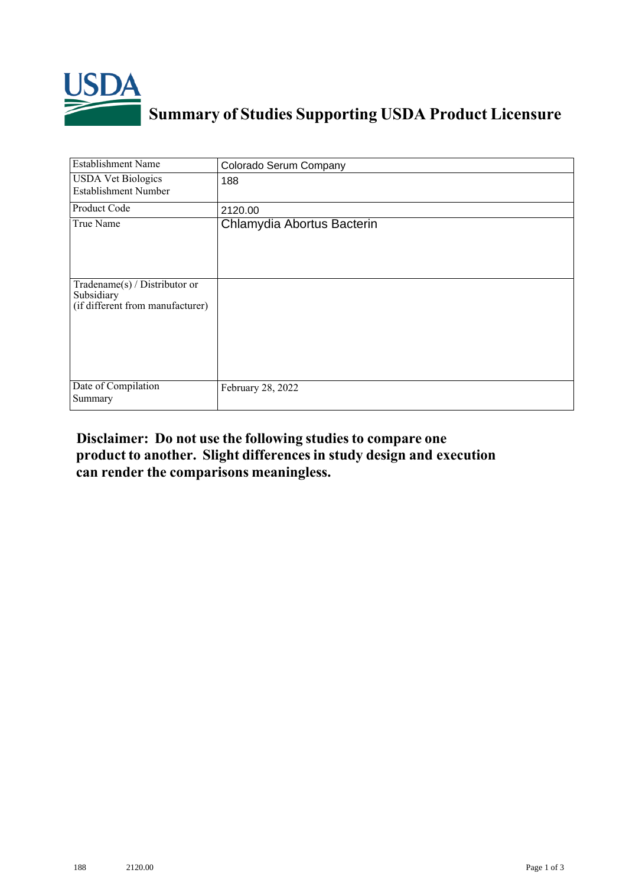

## **Summary of Studies Supporting USDA Product Licensure**

| <b>Establishment Name</b>                                                       | Colorado Serum Company     |
|---------------------------------------------------------------------------------|----------------------------|
| <b>USDA Vet Biologics</b><br><b>Establishment Number</b>                        | 188                        |
| Product Code                                                                    | 2120.00                    |
| True Name                                                                       | Chlamydia Abortus Bacterin |
| Tradename(s) / Distributor or<br>Subsidiary<br>(if different from manufacturer) |                            |
| Date of Compilation<br>Summary                                                  | February 28, 2022          |

## **Disclaimer: Do not use the following studiesto compare one product to another. Slight differencesin study design and execution can render the comparisons meaningless.**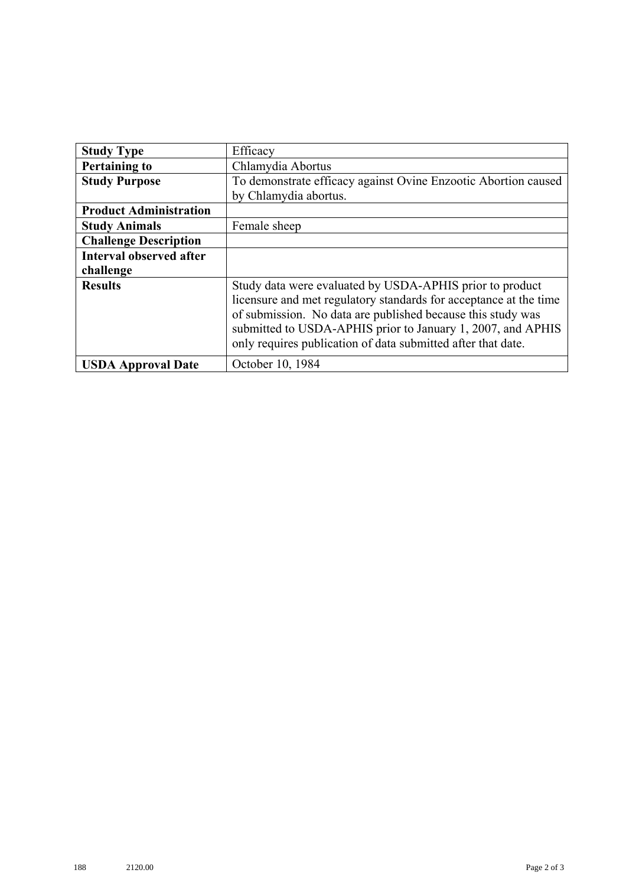| <b>Study Type</b>              | Efficacy                                                          |
|--------------------------------|-------------------------------------------------------------------|
| <b>Pertaining to</b>           | Chlamydia Abortus                                                 |
| <b>Study Purpose</b>           | To demonstrate efficacy against Ovine Enzootic Abortion caused    |
|                                | by Chlamydia abortus.                                             |
| <b>Product Administration</b>  |                                                                   |
| <b>Study Animals</b>           | Female sheep                                                      |
| <b>Challenge Description</b>   |                                                                   |
| <b>Interval observed after</b> |                                                                   |
| challenge                      |                                                                   |
| <b>Results</b>                 | Study data were evaluated by USDA-APHIS prior to product          |
|                                | licensure and met regulatory standards for acceptance at the time |
|                                | of submission. No data are published because this study was       |
|                                | submitted to USDA-APHIS prior to January 1, 2007, and APHIS       |
|                                | only requires publication of data submitted after that date.      |
| <b>USDA Approval Date</b>      | October 10, 1984                                                  |